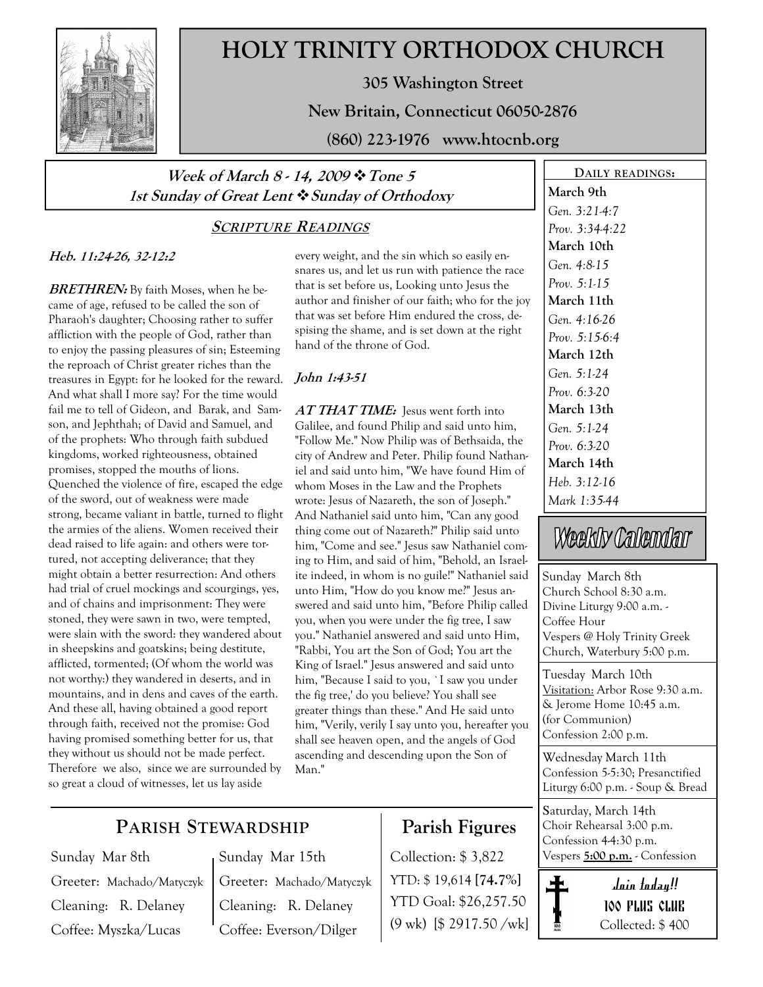

# HOLY TRINITY ORTHODOX CHURCH

305 Washington Street

New Britain, Connecticut 06050-2876

(860) 223-1976 www.htocnb.org

## Week of March 8 - 14, 2009  $\cdot \cdot$  Tone 5 1st Sunday of Great Lent  $\clubsuit$  Sunday of Orthodoxy

## SCRIPTURE READINGS

## Heb. 11:24-26, 32-12:2

**BRETHREN:** By faith Moses, when he became of age, refused to be called the son of Pharaoh's daughter; Choosing rather to suffer affliction with the people of God, rather than to enjoy the passing pleasures of sin; Esteeming the reproach of Christ greater riches than the treasures in Egypt: for he looked for the reward. And what shall I more say? For the time would fail me to tell of Gideon, and Barak, and Samson, and Jephthah; of David and Samuel, and of the prophets: Who through faith subdued kingdoms, worked righteousness, obtained promises, stopped the mouths of lions. Quenched the violence of fire, escaped the edge of the sword, out of weakness were made strong, became valiant in battle, turned to flight the armies of the aliens. Women received their dead raised to life again: and others were tortured, not accepting deliverance; that they might obtain a better resurrection: And others had trial of cruel mockings and scourgings, yes, and of chains and imprisonment: They were stoned, they were sawn in two, were tempted, were slain with the sword: they wandered about in sheepskins and goatskins; being destitute, afflicted, tormented; (Of whom the world was not worthy:) they wandered in deserts, and in mountains, and in dens and caves of the earth. And these all, having obtained a good report through faith, received not the promise: God having promised something better for us, that they without us should not be made perfect. Therefore we also, since we are surrounded by so great a cloud of witnesses, let us lay aside

every weight, and the sin which so easily ensnares us, and let us run with patience the race that is set before us, Looking unto Jesus the author and finisher of our faith; who for the joy that was set before Him endured the cross, despising the shame, and is set down at the right hand of the throne of God.

## John 1:43-51

AT THAT TIME: Jesus went forth into Galilee, and found Philip and said unto him, "Follow Me." Now Philip was of Bethsaida, the city of Andrew and Peter. Philip found Nathaniel and said unto him, "We have found Him of whom Moses in the Law and the Prophets wrote: Jesus of Nazareth, the son of Joseph." And Nathaniel said unto him, "Can any good thing come out of Nazareth?" Philip said unto him, "Come and see." Jesus saw Nathaniel coming to Him, and said of him, "Behold, an Israelite indeed, in whom is no guile!" Nathaniel said unto Him, "How do you know me?" Jesus answered and said unto him, "Before Philip called you, when you were under the fig tree, I saw you." Nathaniel answered and said unto Him, "Rabbi, You art the Son of God; You art the King of Israel." Jesus answered and said unto him, "Because I said to you, `I saw you under the fig tree,' do you believe? You shall see greater things than these." And He said unto him, "Verily, verily I say unto you, hereafter you shall see heaven open, and the angels of God ascending and descending upon the Son of Man."

March 9th Gen. 3:21-4:7 Prov. 3:34-4:22 March 10th Gen. 4:8-15 Prov. 5:1-15 March 11th Gen. 4:16-26 Prov. 5:15-6:4 March 12th Gen. 5:1-24 Prov. 6:3-20 March 13th Gen. 5:1-24 Prov. 6:3-20 March 14th Heb. 3:12-16 Mark 1:35-44

DAILY READINGS:

# Weekly Calendar

Sunday March 8th Church School 8:30 a.m. Divine Liturgy 9:00 a.m. - Coffee Hour Vespers @ Holy Trinity Greek Church, Waterbury 5:00 p.m.

Tuesday March 10th Visitation: Arbor Rose 9:30 a.m. & Jerome Home 10:45 a.m. (for Communion) Confession 2:00 p.m.

Wednesday March 11th Confession 5-5:30; Presanctified Liturgy 6:00 p.m. - Soup & Bread

Saturday, March 14th Choir Rehearsal 3:00 p.m. Confession 4-4:30 p.m. Collection: \$3,822 Vespers 5:00 p.m. - Confession



## PARISH STEWARDSHIP

Sunday Mar 8th Greeter: Machado/Matyczyk Cleaning: R. Delaney Coffee: Myszka/Lucas

Greeter: Machado/Matyczyk Cleaning: R. Delaney Coffee: Everson/Dilger

Sunday Mar 15th

# Parish Figures

YTD: \$ 19,614 [74.7%] YTD Goal: \$26,257.50 (9 wk) [\$ 2917.50 /wk]